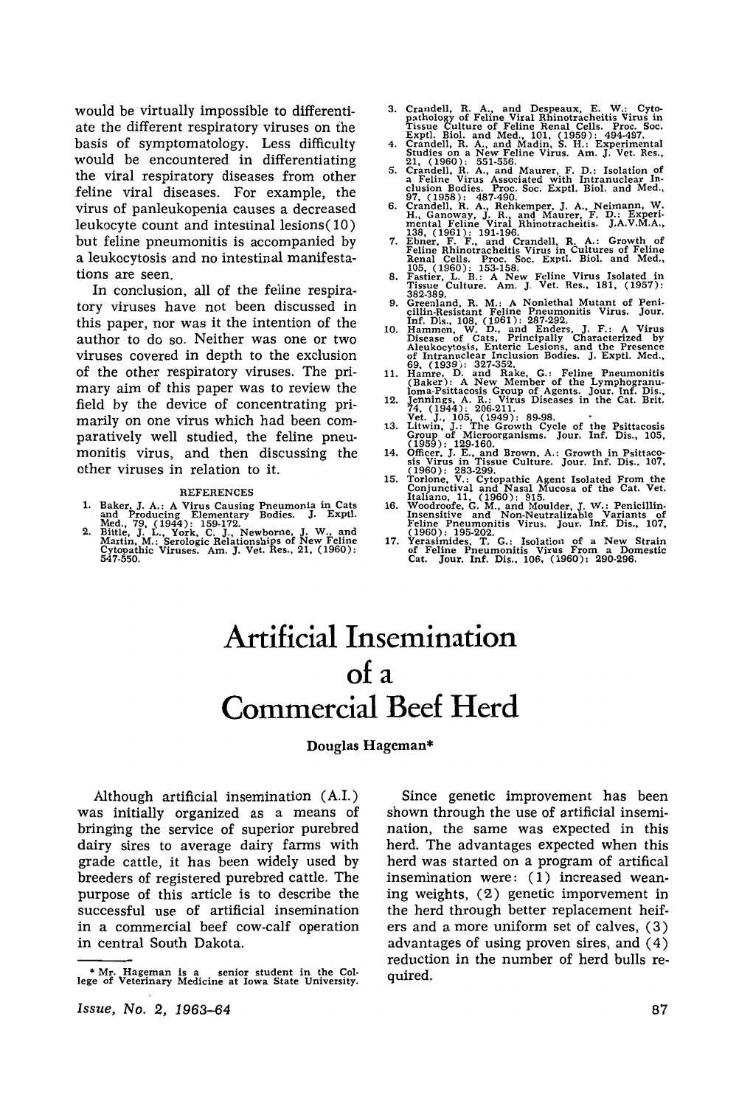would be virtually impossible to differentiate the different respiratory viruses on the basis of symptomatology. Less difficulty would be encountered in differentiating the viral respiratory diseases from other feline viral diseases. For example, the virus of panleukopenia causes a decreased leukocyte count and intestinal lesions (10) but feline pneumonitis is accompanied by a leukocytosis and no intestinal manifestations are seen.

In conclusion, all of the feline respiratory viruses have not been discussed in this paper, nor was it the intention of the author to do so. Neither was one or two viruses covered in depth to the exclusion of the other respiratory viruses. The primary aim of this paper was to review the field by the device of concentrating primarily on one virus which had been comparatively well studied, the feline pneumonitis virus, and then discussing the other viruses in relation to it.

#### **REFERENCES**

- 
- 1. Baker, J. A.: A Virus Causing Pneumonia in Cats<br>and Producing Elementary Bodies. J. Exptl.<br>Med., 79, (1944): 159-172.<br>2. Bittle, J. L., York, C. J., Newborne, J. W., and<br>Martin, M.: Serologic Relationships of New Feline
- 
- 
- 3. Crandell, R. A., and Despeaux, E. W.: Cyto-<br>pathology of Feline Virus in this Virus in<br>Fissue Culture of Feline Renal Cells. Froc. Soc.<br>Fissue Culture of Feline Renal Cells. Froc. Soc.<br>4. Crandell, R. A., and Madin, S.
- 
- 
- 
- 
- 9. Greenland, R. M.: A Nonlethal Mutant of Peniculin-Resistant Feline Pneumonitis Virus. Jour.<br>
Inf. Dis., 108, (1961): 287-292.<br>
10. Hammon, W. D., and Enders, J. F.: A Virus<br>
Disease of Cats, Principally Characterized b
- 
- 
- 
- 
- 
- 
- 

## **Artificial Insemination of a Commercial Beef Herd**

#### Douglas Hageman\*

Although artificial insemination (A.I.) was initially organized as a means of bringing the service of superior purebred dairy sires to average dairy farms with grade cattle, it has been widely used by breeders of registered purebred cattle. The purpose of this article is to describe the successful use of artificial insemination in a commercial beef cow-calf operation in central South Dakota.

*Issue,* No.2, 1963-64

Since genetic improvement has been shown through the use of artificial insemination, the same was expected in this herd. The advantages expected when this herd was started on a program of artifical insemination were: ( 1) increased weaning weights, (2) genetic imporvement in the herd through better replacement heifers and a more uniform set of calves, (3) advantages of using proven sires, and (4) reduction in the number of herd bulls required.

<sup>•</sup> Mr. Hageman is a senior student in the Col· lege of Veterinary Medicine at Iowa State University.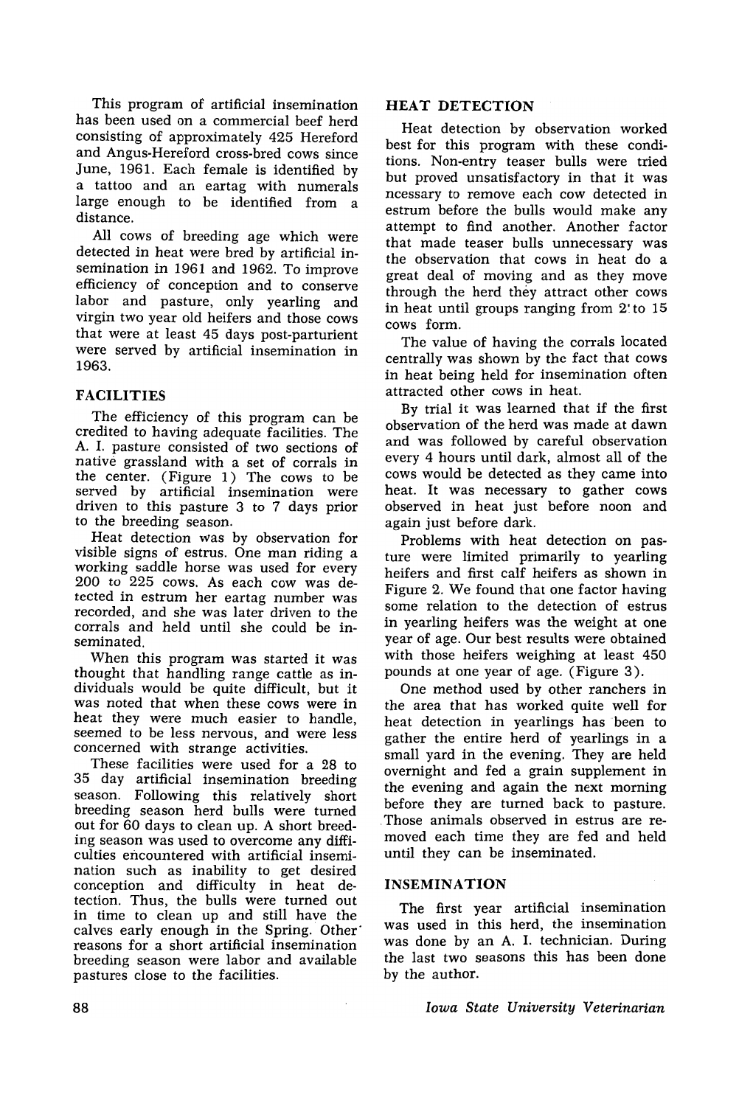This program of artificial insemination has been used on a commercial beef herd consisting of approximately 425 Hereford and Angus-Hereford cross-bred cows since June, 1961. Each female is identified by a tattoo and an eartag with numerals large enough to be identified from a distance.

All cows of breeding age which were detected in heat were bred by artificial insemination in 1961 and 1962. To improve efficiency of conception and to conserve labor and pasture, only yearling and virgin two year old heifers and those cows that were at least 45 days post-parturient were served by artificial insemination in 1963.

## **FACILITIES**

The efficiency of this program can be credited to having adequate facilities. The A. I. pasture consisted of two sections of native grassland with a set of corrals in the center. (Figure 1) The cows to be served by artificial insemination were driven to this pasture 3 to 7 days prior to the breeding season.

Heat detection was by observation for visible signs of estrus. One man riding a working saddle horse was used for every 200 to 225 cows. As each cow was detected in estrum her eartag number was recorded, and she was later driven to the corrals and held until she could be inseminated.

When this program was started it was thought that handling range cattle as individuals would be quite difficult, but it was noted that when these cows were in heat they were much easier to handle, seemed to be less nervous, and were less concerned with strange activities.

These facilities were used for a 28 to 35 day artificial insemination breeding season. Following this relatively short breeding season herd bulls were turned out for 60 days to clean up. A short breeding season was used to overcome any difficulties encountered with artificial insemination such as inability to get desired conception and difficulty in heat detection. Thus, the bulls were turned out in time to clean up and still have the calves early enough in the Spring. Other' reasons for a short artificial insemination breeding season were labor and available pastures close to the facilities.

## **HEAT DETECTION**

Heat detection by observation worked best for this program with these conditions. Non-entry teaser bulls were tried but proved unsatisfactory in that it was ncessary to remove each cow detected in estrum before the bulls would make any attempt to find another. Another factor that made teaser bulls unnecessary was the observation that cows in heat do a great deal of moving and as they move through the herd they attract other cows in heat until groups ranging from 2' to 15 cows form.

The value of having the corrals located centrally was shown by the fact that cows in heat being held for insemination often attracted other cows in heat.

By trial it was learned that if the first observation of the herd was made at dawn and was followed by careful observation every 4 hours until dark, almost all of the cows would be detected as they came into heat. It was necessary to gather cows observed in heat just before noon and again just before dark.

Problems with heat detection on pasture were limited primarily to yearling heifers and first calf heifers as shown in Figure 2. We found that one factor having some relation to the detection of estrus in yearling heifers was the weight at one year of age. Our best results were obtained with those heifers weighing at least 450 pounds at one year of age. (Figure 3).

One method used by other ranchers in the area that has worked quite well for heat detection in yearlings has· been to gather the entire herd of yearlings in a small yard in the evening. They are held overnight and fed a grain supplement in the evening and again the next morning before they are turned back to pasture. . Those animals observed in estrus are removed each time they are fed and held until they can be inseminated.

## **INSEMINATION**

The first year artificial insemination was used in this herd, the insemination was done by an A. I. technician. DUring the last two seasons this has been done by the author.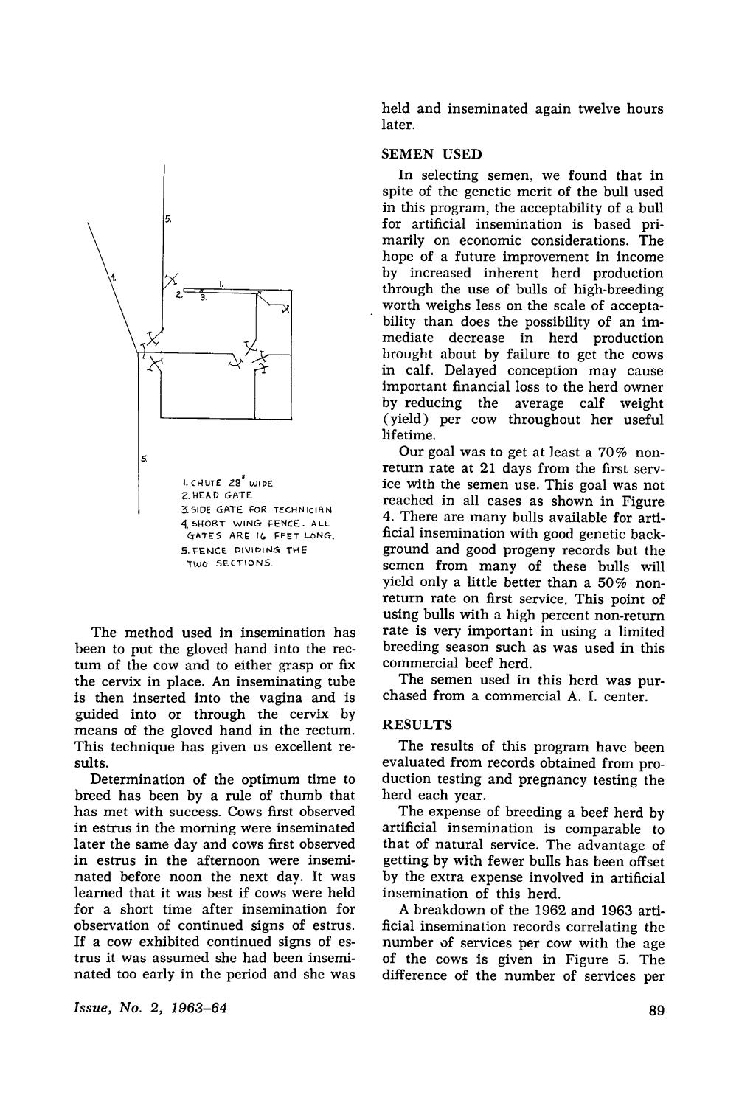

The method used in insemination has been to put the gloved hand into the rectum of the cow and to either grasp or fix the cervix in place. An inseminating tube is then inserted into the vagina and is guided into or through the cervix by means of the gloved hand in the rectum. This technique has given us excellent results.

Determination of the optimum time to breed has been by a rule of thumb that has met with success. Cows first observed in estrus in the morning were inseminated later the same day and cows first observed in estrus in the afternoon were inseminated before noon the next day. It was learned that it was best if cows were held for a short time after insemination for observation of continued signs of estrus. If a cow exhibited continued signs of estrus it was assumed she had been inseminated too early in the period and she was

*Issue, No.2, 1963-64* 

held and inseminated again twelve hours later.

## SEMEN USED

In selecting semen, we found that in spite of the genetic merit of the bull used in this program, the acceptability of a bull for artificial insemination is based primarily on economic considerations. The hope of a future improvement in income by increased inherent herd production through the use of bulls of high-breeding worth weighs less on the scale of acceptability than does the possibility of an immediate decrease in herd production brought about by failure to get the cows in calf. Delayed conception may cause important financial loss to the herd owner by reducing the average calf weight (yield) per cow throughout her useful lifetime.

Our goal was to get at least a 70% nonreturn rate at 21 days from the first service with the semen use. This goal was not reached in all cases as shown in Figure 4. There are many bulls available for artificial insemination with good genetic background and good progeny records but the semen from many of these bulls will yield only a little better than a 50% nonreturn rate on first service. This point of using bulls with a high percent non-return rate is very important in using a limited breeding season such as was used in this commercial beef herd.

The semen used in this herd was purchased from a commercial A. I. center.

## **RESULTS**

The results of this program have been evaluated from records obtained from production testing and pregnancy testing the herd each year.

The expense of breeding a beef herd by artificial insemination is comparable to that of natural service. The advantage of getting by with fewer bulls has been offset by the extra expense involved in artificial insemination of this herd.

A breakdown of the 1962 and 1963 artificial insemination records correlating the number of services per cow with the age of the cows is given in Figure 5. The difference of the number of services per